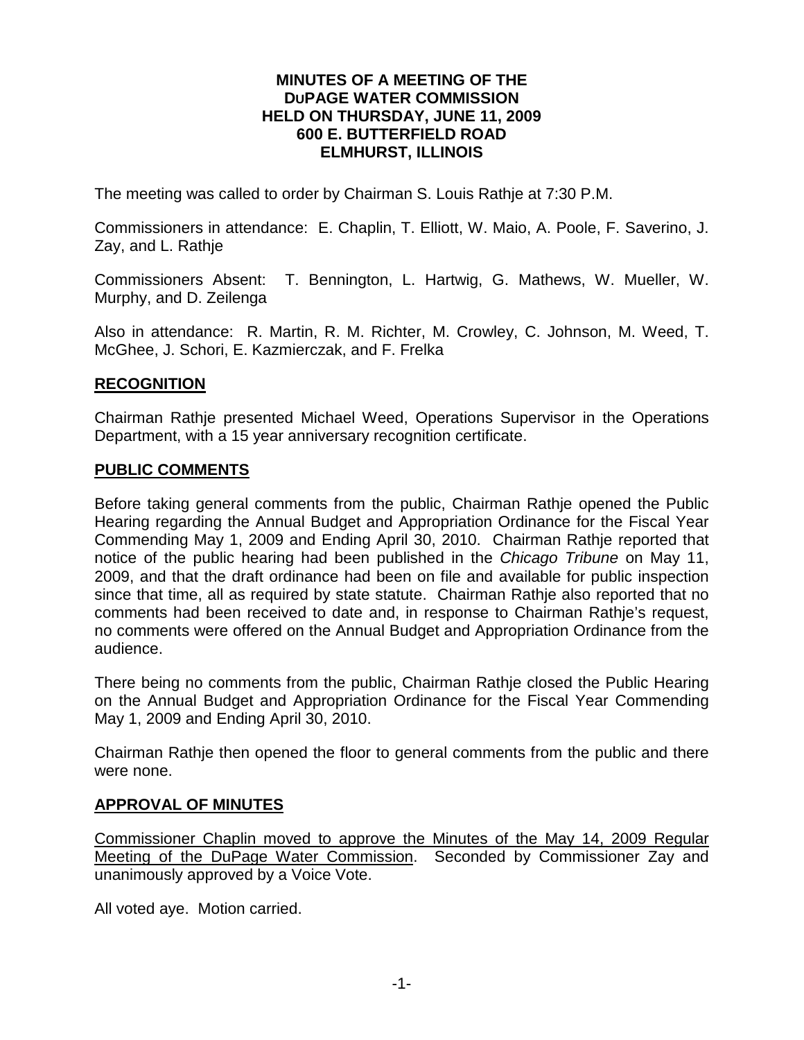#### **MINUTES OF A MEETING OF THE DUPAGE WATER COMMISSION HELD ON THURSDAY, JUNE 11, 2009 600 E. BUTTERFIELD ROAD ELMHURST, ILLINOIS**

The meeting was called to order by Chairman S. Louis Rathje at 7:30 P.M.

Commissioners in attendance: E. Chaplin, T. Elliott, W. Maio, A. Poole, F. Saverino, J. Zay, and L. Rathje

Commissioners Absent: T. Bennington, L. Hartwig, G. Mathews, W. Mueller, W. Murphy, and D. Zeilenga

Also in attendance: R. Martin, R. M. Richter, M. Crowley, C. Johnson, M. Weed, T. McGhee, J. Schori, E. Kazmierczak, and F. Frelka

### **RECOGNITION**

Chairman Rathje presented Michael Weed, Operations Supervisor in the Operations Department, with a 15 year anniversary recognition certificate.

#### **PUBLIC COMMENTS**

Before taking general comments from the public, Chairman Rathje opened the Public Hearing regarding the Annual Budget and Appropriation Ordinance for the Fiscal Year Commending May 1, 2009 and Ending April 30, 2010. Chairman Rathje reported that notice of the public hearing had been published in the *Chicago Tribune* on May 11, 2009, and that the draft ordinance had been on file and available for public inspection since that time, all as required by state statute. Chairman Rathje also reported that no comments had been received to date and, in response to Chairman Rathje's request, no comments were offered on the Annual Budget and Appropriation Ordinance from the audience.

There being no comments from the public, Chairman Rathje closed the Public Hearing on the Annual Budget and Appropriation Ordinance for the Fiscal Year Commending May 1, 2009 and Ending April 30, 2010.

Chairman Rathje then opened the floor to general comments from the public and there were none.

#### **APPROVAL OF MINUTES**

Commissioner Chaplin moved to approve the Minutes of the May 14, 2009 Regular Meeting of the DuPage Water Commission. Seconded by Commissioner Zay and unanimously approved by a Voice Vote.

All voted aye. Motion carried.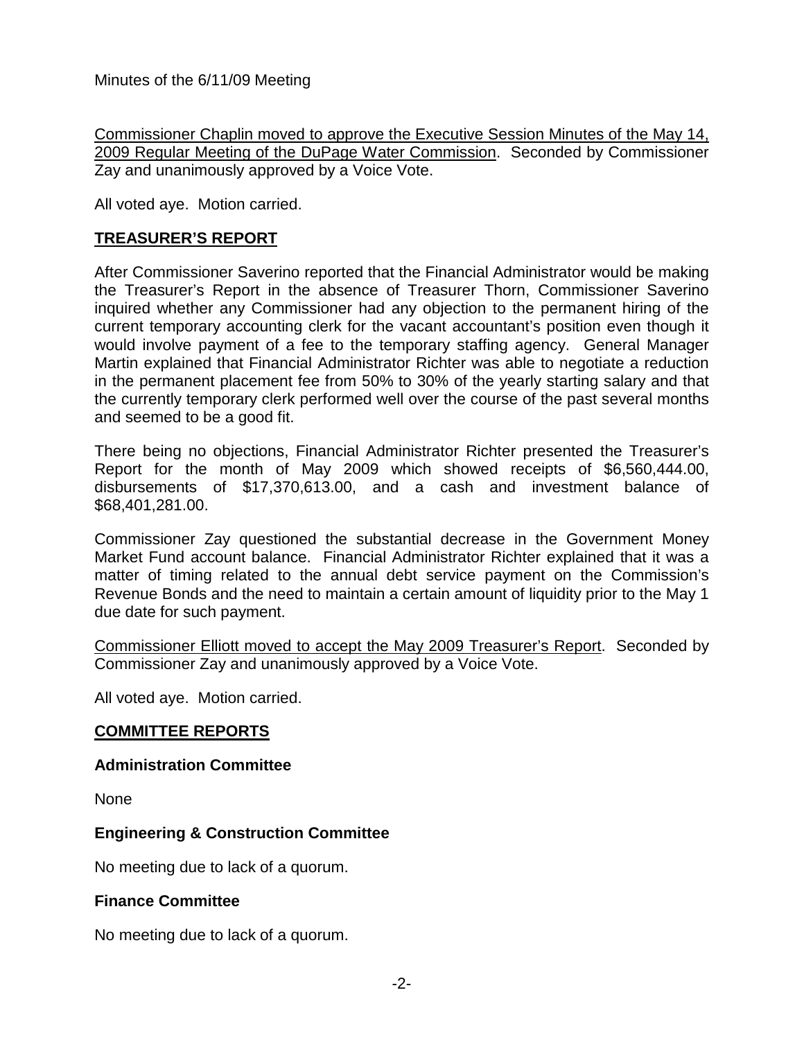Commissioner Chaplin moved to approve the Executive Session Minutes of the May 14, 2009 Regular Meeting of the DuPage Water Commission. Seconded by Commissioner Zay and unanimously approved by a Voice Vote.

All voted aye. Motion carried.

### **TREASURER'S REPORT**

After Commissioner Saverino reported that the Financial Administrator would be making the Treasurer's Report in the absence of Treasurer Thorn, Commissioner Saverino inquired whether any Commissioner had any objection to the permanent hiring of the current temporary accounting clerk for the vacant accountant's position even though it would involve payment of a fee to the temporary staffing agency. General Manager Martin explained that Financial Administrator Richter was able to negotiate a reduction in the permanent placement fee from 50% to 30% of the yearly starting salary and that the currently temporary clerk performed well over the course of the past several months and seemed to be a good fit.

There being no objections, Financial Administrator Richter presented the Treasurer's Report for the month of May 2009 which showed receipts of \$6,560,444.00, disbursements of \$17,370,613.00, and a cash and investment balance of \$68,401,281.00.

Commissioner Zay questioned the substantial decrease in the Government Money Market Fund account balance. Financial Administrator Richter explained that it was a matter of timing related to the annual debt service payment on the Commission's Revenue Bonds and the need to maintain a certain amount of liquidity prior to the May 1 due date for such payment.

Commissioner Elliott moved to accept the May 2009 Treasurer's Report. Seconded by Commissioner Zay and unanimously approved by a Voice Vote.

All voted aye. Motion carried.

### **COMMITTEE REPORTS**

#### **Administration Committee**

None

### **Engineering & Construction Committee**

No meeting due to lack of a quorum.

### **Finance Committee**

No meeting due to lack of a quorum.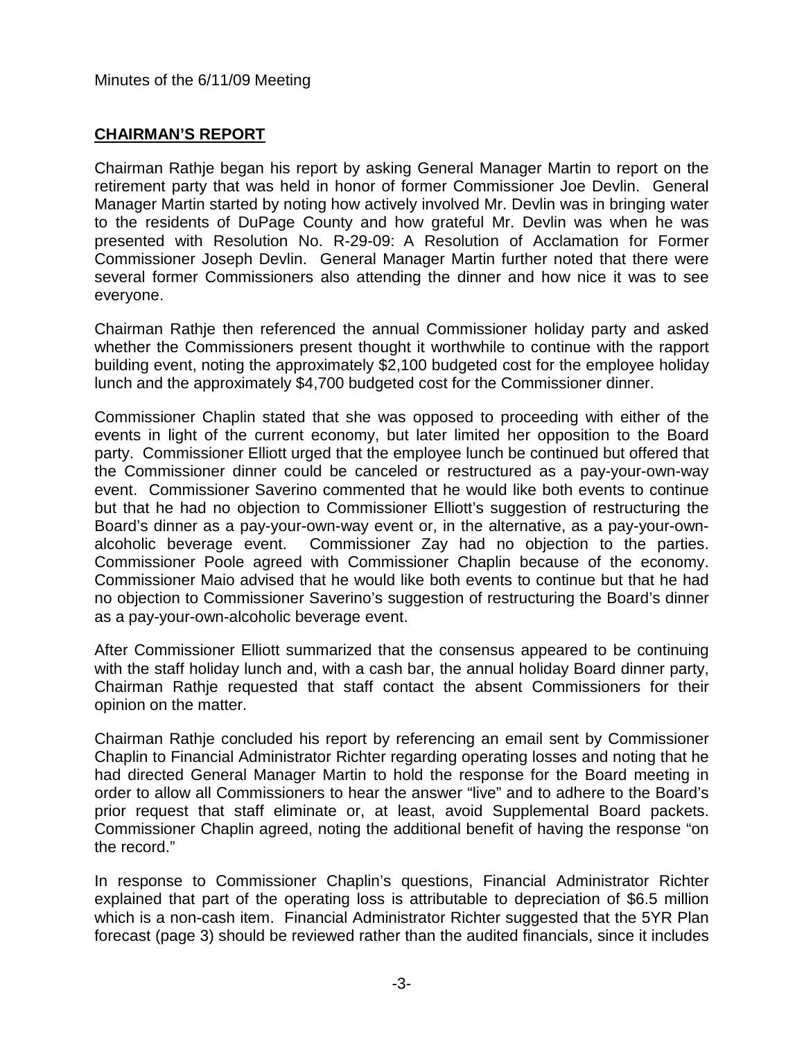# **CHAIRMAN'S REPORT**

Chairman Rathje began his report by asking General Manager Martin to report on the retirement party that was held in honor of former Commissioner Joe Devlin. General Manager Martin started by noting how actively involved Mr. Devlin was in bringing water to the residents of DuPage County and how grateful Mr. Devlin was when he was presented with Resolution No. R-29-09: A Resolution of Acclamation for Former Commissioner Joseph Devlin. General Manager Martin further noted that there were several former Commissioners also attending the dinner and how nice it was to see everyone.

Chairman Rathje then referenced the annual Commissioner holiday party and asked whether the Commissioners present thought it worthwhile to continue with the rapport building event, noting the approximately \$2,100 budgeted cost for the employee holiday lunch and the approximately \$4,700 budgeted cost for the Commissioner dinner.

Commissioner Chaplin stated that she was opposed to proceeding with either of the events in light of the current economy, but later limited her opposition to the Board party. Commissioner Elliott urged that the employee lunch be continued but offered that the Commissioner dinner could be canceled or restructured as a pay-your-own-way event. Commissioner Saverino commented that he would like both events to continue but that he had no objection to Commissioner Elliott's suggestion of restructuring the Board's dinner as a pay-your-own-way event or, in the alternative, as a pay-your-ownalcoholic beverage event. Commissioner Zay had no objection to the parties. Commissioner Poole agreed with Commissioner Chaplin because of the economy. Commissioner Maio advised that he would like both events to continue but that he had no objection to Commissioner Saverino's suggestion of restructuring the Board's dinner as a pay-your-own-alcoholic beverage event.

After Commissioner Elliott summarized that the consensus appeared to be continuing with the staff holiday lunch and, with a cash bar, the annual holiday Board dinner party, Chairman Rathje requested that staff contact the absent Commissioners for their opinion on the matter.

Chairman Rathje concluded his report by referencing an email sent by Commissioner Chaplin to Financial Administrator Richter regarding operating losses and noting that he had directed General Manager Martin to hold the response for the Board meeting in order to allow all Commissioners to hear the answer "live" and to adhere to the Board's prior request that staff eliminate or, at least, avoid Supplemental Board packets. Commissioner Chaplin agreed, noting the additional benefit of having the response "on the record."

In response to Commissioner Chaplin's questions, Financial Administrator Richter explained that part of the operating loss is attributable to depreciation of \$6.5 million which is a non-cash item. Financial Administrator Richter suggested that the 5YR Plan forecast (page 3) should be reviewed rather than the audited financials, since it includes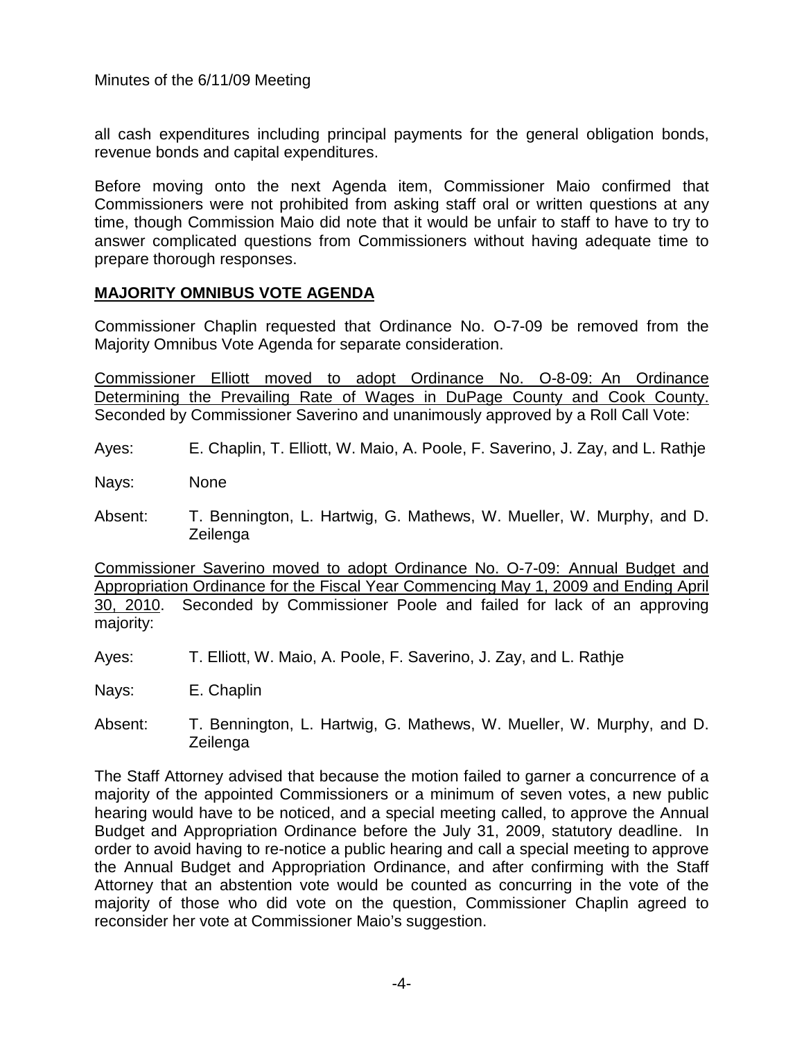all cash expenditures including principal payments for the general obligation bonds, revenue bonds and capital expenditures.

Before moving onto the next Agenda item, Commissioner Maio confirmed that Commissioners were not prohibited from asking staff oral or written questions at any time, though Commission Maio did note that it would be unfair to staff to have to try to answer complicated questions from Commissioners without having adequate time to prepare thorough responses.

## **MAJORITY OMNIBUS VOTE AGENDA**

Commissioner Chaplin requested that Ordinance No. O-7-09 be removed from the Majority Omnibus Vote Agenda for separate consideration.

Commissioner Elliott moved to adopt Ordinance No. O-8-09: An Ordinance Determining the Prevailing Rate of Wages in DuPage County and Cook County. Seconded by Commissioner Saverino and unanimously approved by a Roll Call Vote:

Ayes: E. Chaplin, T. Elliott, W. Maio, A. Poole, F. Saverino, J. Zay, and L. Rathje

Nays: None

Absent: T. Bennington, L. Hartwig, G. Mathews, W. Mueller, W. Murphy, and D. Zeilenga

Commissioner Saverino moved to adopt Ordinance No. O-7-09: Annual Budget and Appropriation Ordinance for the Fiscal Year Commencing May 1, 2009 and Ending April 30, 2010. Seconded by Commissioner Poole and failed for lack of an approving majority:

Ayes: T. Elliott, W. Maio, A. Poole, F. Saverino, J. Zay, and L. Rathje

Nays: E. Chaplin

Absent: T. Bennington, L. Hartwig, G. Mathews, W. Mueller, W. Murphy, and D. Zeilenga

The Staff Attorney advised that because the motion failed to garner a concurrence of a majority of the appointed Commissioners or a minimum of seven votes, a new public hearing would have to be noticed, and a special meeting called, to approve the Annual Budget and Appropriation Ordinance before the July 31, 2009, statutory deadline. In order to avoid having to re-notice a public hearing and call a special meeting to approve the Annual Budget and Appropriation Ordinance, and after confirming with the Staff Attorney that an abstention vote would be counted as concurring in the vote of the majority of those who did vote on the question, Commissioner Chaplin agreed to reconsider her vote at Commissioner Maio's suggestion.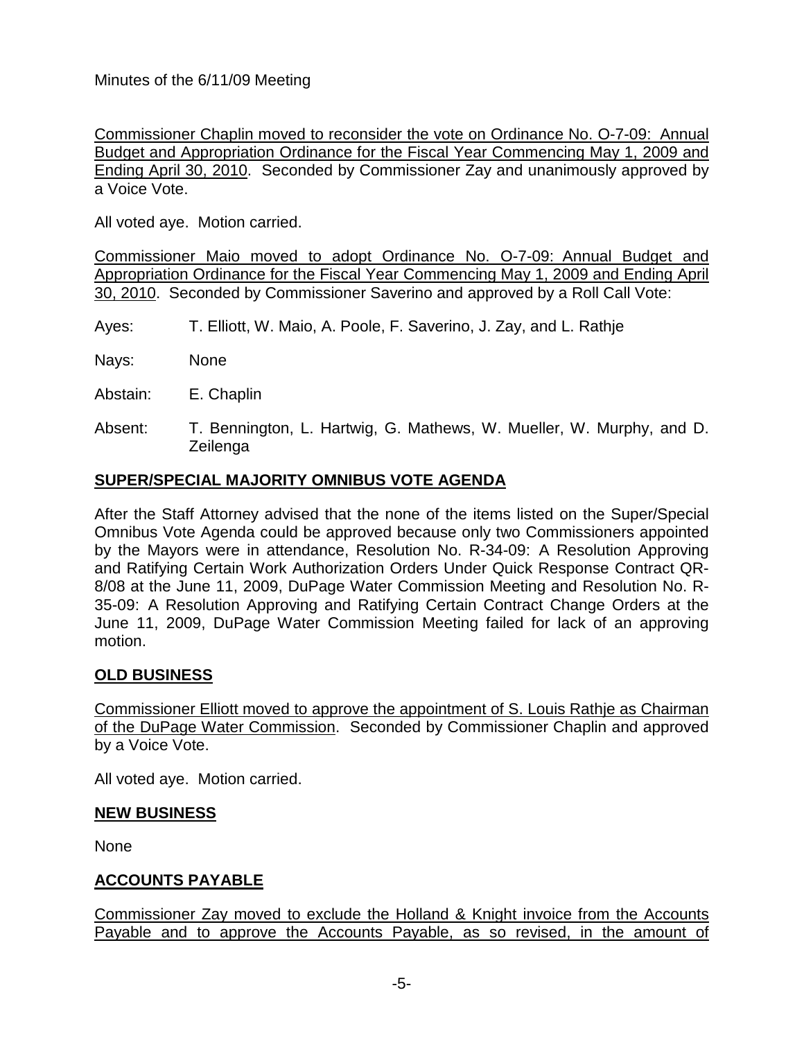Commissioner Chaplin moved to reconsider the vote on Ordinance No. O-7-09: Annual Budget and Appropriation Ordinance for the Fiscal Year Commencing May 1, 2009 and Ending April 30, 2010. Seconded by Commissioner Zay and unanimously approved by a Voice Vote.

All voted aye. Motion carried.

Commissioner Maio moved to adopt Ordinance No. O-7-09: Annual Budget and Appropriation Ordinance for the Fiscal Year Commencing May 1, 2009 and Ending April 30, 2010. Seconded by Commissioner Saverino and approved by a Roll Call Vote:

- Ayes: T. Elliott, W. Maio, A. Poole, F. Saverino, J. Zay, and L. Rathje
- Nays: None
- Abstain: E. Chaplin
- Absent: T. Bennington, L. Hartwig, G. Mathews, W. Mueller, W. Murphy, and D. Zeilenga

### **SUPER/SPECIAL MAJORITY OMNIBUS VOTE AGENDA**

After the Staff Attorney advised that the none of the items listed on the Super/Special Omnibus Vote Agenda could be approved because only two Commissioners appointed by the Mayors were in attendance, Resolution No. R-34-09: A Resolution Approving and Ratifying Certain Work Authorization Orders Under Quick Response Contract QR-8/08 at the June 11, 2009, DuPage Water Commission Meeting and Resolution No. R-35-09: A Resolution Approving and Ratifying Certain Contract Change Orders at the June 11, 2009, DuPage Water Commission Meeting failed for lack of an approving motion.

### **OLD BUSINESS**

Commissioner Elliott moved to approve the appointment of S. Louis Rathje as Chairman of the DuPage Water Commission. Seconded by Commissioner Chaplin and approved by a Voice Vote.

All voted aye. Motion carried.

### **NEW BUSINESS**

None

### **ACCOUNTS PAYABLE**

Commissioner Zay moved to exclude the Holland & Knight invoice from the Accounts Payable and to approve the Accounts Payable, as so revised, in the amount of